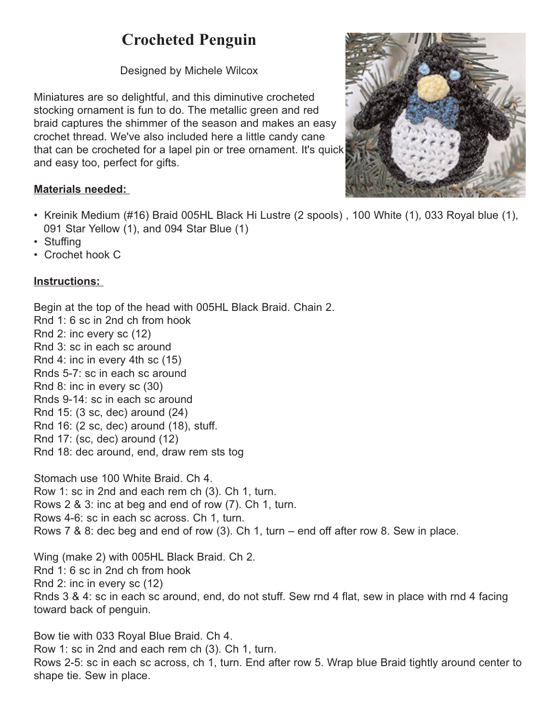## **Crocheted Penguin**

Designed by Michele Wilcox

Miniatures are so delightful, and this diminutive crocheted stocking ornament is fun to do. The metallic green and red braid captures the shimmer of the season and makes an easy crochet thread. We've also included here a little candy cane that can be crocheted for a lapel pin or tree ornament. It's quick and easy too, perfect for gifts.



## **Materials needed:**

- Kreinik Medium (#16) Braid 005HL Black Hi Lustre (2 spools) , 100 White (1), 033 Royal blue (1), 091 Star Yellow (1), and 094 Star Blue (1)
- Stuffing
- Crochet hook C

## **Instructions:**

Begin at the top of the head with 005HL Black Braid. Chain 2. Rnd 1: 6 sc in 2nd ch from hook

Rnd 2: inc every sc (12)

Rnd 3: sc in each sc around

Rnd 4: inc in every 4th sc (15)

Rnds 5-7: sc in each sc around

Rnd 8: inc in every sc (30)

Rnds 9-14: sc in each sc around

Rnd 15: (3 sc, dec) around (24)

Rnd 16: (2 sc, dec) around (18), stuff.

Rnd 17: (sc, dec) around (12)

Rnd 18: dec around, end, draw rem sts tog

Stomach use 100 White Braid. Ch 4. Row 1: sc in 2nd and each rem ch (3). Ch 1, turn. Rows 2 & 3: inc at beg and end of row (7). Ch 1, turn. Rows 4-6: sc in each sc across. Ch 1, turn. Rows 7 & 8: dec beg and end of row (3). Ch 1, turn – end off after row 8. Sew in place.

Wing (make 2) with 005HL Black Braid. Ch 2. Rnd 1: 6 sc in 2nd ch from hook Rnd 2: inc in every sc (12) Rnds 3 & 4: sc in each sc around, end, do not stuff. Sew rnd 4 flat, sew in place with rnd 4 facing toward back of penguin.

Bow tie with 033 Royal Blue Braid. Ch 4. Row 1: sc in 2nd and each rem ch (3). Ch 1, turn. Rows 2-5: sc in each sc across, ch 1, turn. End after row 5. Wrap blue Braid tightly around center to shape tie. Sew in place.